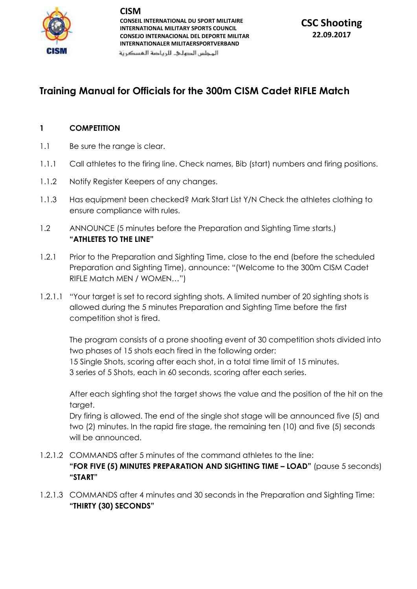

**CISM CONSEIL INTERNATIONAL DU SPORT MILITAIRE INTERNATIONAL MILITARY SPORTS COUNCIL CONSEJO INTERNACIONAL DEL DEPORTE MILITAR INTERNATIONALER MILITAERSPORTVERBAND**

المحلس الدهلى للرياضة المسكرنة

# **Training Manual for Officials for the 300m CISM Cadet RIFLE Match**

## **1 COMPETITION**

- 1.1 Be sure the range is clear.
- 1.1.1 Call athletes to the firing line. Check names, Bib (start) numbers and firing positions.
- 1.1.2 Notify Register Keepers of any changes.
- 1.1.3 Has equipment been checked? Mark Start List Y/N Check the athletes clothing to ensure compliance with rules.
- 1.2 ANNOUNCE (5 minutes before the Preparation and Sighting Time starts.) **"ATHLETES TO THE LINE"**
- 1.2.1 Prior to the Preparation and Sighting Time, close to the end (before the scheduled Preparation and Sighting Time), announce: "(Welcome to the 300m CISM Cadet RIFLE Match MEN / WOMEN…")
- 1.2.1.1 "Your target is set to record sighting shots. A limited number of 20 sighting shots is allowed during the 5 minutes Preparation and Sighting Time before the first competition shot is fired.

The program consists of a prone shooting event of 30 competition shots divided into two phases of 15 shots each fired in the following order: 15 Single Shots, scoring after each shot, in a total time limit of 15 minutes. 3 series of 5 Shots, each in 60 seconds, scoring after each series.

After each sighting shot the target shows the value and the position of the hit on the target.

Dry firing is allowed. The end of the single shot stage will be announced five (5) and two (2) minutes. In the rapid fire stage, the remaining ten (10) and five (5) seconds will be announced.

- 1.2.1.2 COMMANDS after 5 minutes of the command athletes to the line: **"FOR FIVE (5) MINUTES PREPARATION AND SIGHTING TIME – LOAD"** (pause 5 seconds) **"START"**
- 1.2.1.3 COMMANDS after 4 minutes and 30 seconds in the Preparation and Sighting Time: **"THIRTY (30) SECONDS"**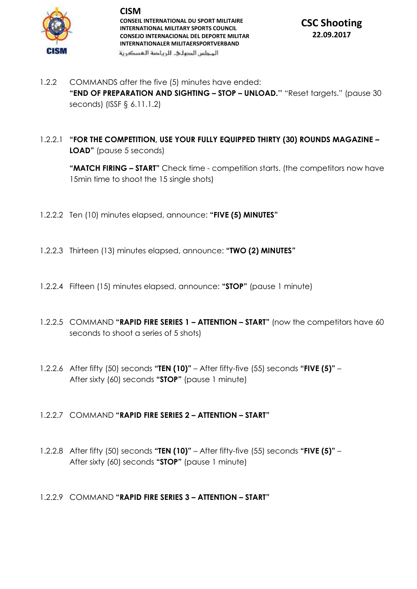

**CISM CONSEIL INTERNATIONAL DU SPORT MILITAIRE INTERNATIONAL MILITARY SPORTS COUNCIL CONSEJO INTERNACIONAL DEL DEPORTE MILITAR INTERNATIONALER MILITAERSPORTVERBAND** المحلس الدهلى للرياضة المسكرنة



- 1.2.2 COMMANDS after the five (5) minutes have ended: **"END OF PREPARATION AND SIGHTING – STOP – UNLOAD.''** "Reset targets." (pause 30 seconds) (ISSF § 6.11.1.2)
- 1.2.2.1 **"FOR THE COMPETITION, USE YOUR FULLY EQUIPPED THIRTY (30) ROUNDS MAGAZINE – LOAD"** (pause 5 seconds)

**"MATCH FIRING – START"** Check time - competition starts. (the competitors now have 15min time to shoot the 15 single shots)

- 1.2.2.2 Ten (10) minutes elapsed, announce: **"FIVE (5) MINUTES"**
- 1.2.2.3 Thirteen (13) minutes elapsed, announce: **"TWO (2) MINUTES"**
- 1.2.2.4 Fifteen (15) minutes elapsed, announce: **"STOP"** (pause 1 minute)
- 1.2.2.5 COMMAND **"RAPID FIRE SERIES 1 – ATTENTION – START"** (now the competitors have 60 seconds to shoot a series of 5 shots)
- 1.2.2.6 After fifty (50) seconds **"TEN (10)"** After fifty-five (55) seconds **"FIVE (5)"** After sixty (60) seconds **"STOP"** (pause 1 minute)

## 1.2.2.7 COMMAND **"RAPID FIRE SERIES 2 – ATTENTION – START"**

1.2.2.8 After fifty (50) seconds **"TEN (10)"** – After fifty-five (55) seconds **"FIVE (5)"** – After sixty (60) seconds **"STOP"** (pause 1 minute)

## 1.2.2.9 COMMAND **"RAPID FIRE SERIES 3 – ATTENTION – START"**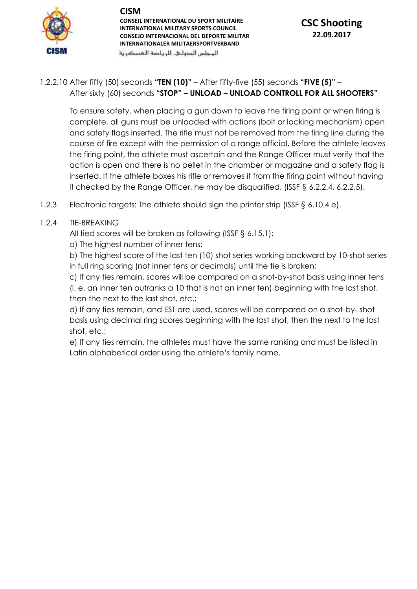## **CISM**



**CONSEIL INTERNATIONAL DU SPORT MILITAIRE INTERNATIONAL MILITARY SPORTS COUNCIL CONSEJO INTERNACIONAL DEL DEPORTE MILITAR INTERNATIONALER MILITAERSPORTVERBAND**

#### المحلس الدهلى للرياضة المسكرنة

## **CSC Shooting 22.09.2017**

## 1.2.2.10 After fifty (50) seconds **"TEN (10)"** – After fifty-five (55) seconds **"FIVE (5)"** – After sixty (60) seconds **"STOP" – UNLOAD – UNLOAD CONTROLL FOR ALL SHOOTERS"**

To ensure safety, when placing a gun down to leave the firing point or when firing is complete, all guns must be unloaded with actions (bolt or locking mechanism) open and safety flags inserted. The rifle must not be removed from the firing line during the course of fire except with the permission of a range official. Before the athlete leaves the firing point, the athlete must ascertain and the Range Officer must verify that the action is open and there is no pellet in the chamber or magazine and a safety flag is inserted. If the athlete boxes his rifle or removes it from the firing point without having it checked by the Range Officer, he may be disqualified. (ISSF § 6.2.2.4, 6.2.2.5).

1.2.3 Electronic targets: The athlete should sign the printer strip (ISSF § 6.10.4 e).

## 1.2.4 TIE-BREAKING

All tied scores will be broken as following (ISSF § 6.15.1):

a) The highest number of inner tens;

b) The highest score of the last ten (10) shot series working backward by 10-shot series in full ring scoring (not inner tens or decimals) until the tie is broken;

c) If any ties remain, scores will be compared on a shot-by-shot basis using inner tens (i. e. an inner ten outranks a 10 that is not an inner ten) beginning with the last shot, then the next to the last shot, etc.;

d) If any ties remain, and EST are used, scores will be compared on a shot-by- shot basis using decimal ring scores beginning with the last shot, then the next to the last shot, etc.;

e) If any ties remain, the athletes must have the same ranking and must be listed in Latin alphabetical order using the athlete's family name.